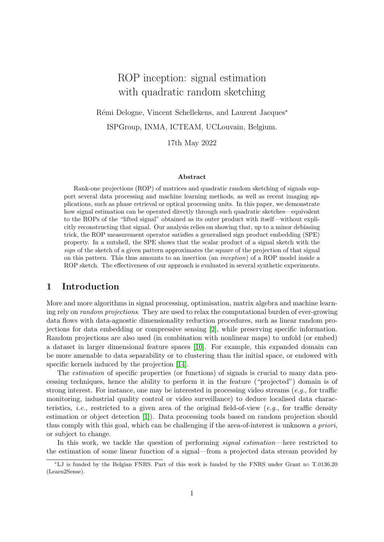# ROP inception: signal estimation with quadratic random sketching

Rémi Delogne, Vincent Schellekens, and Laurent Jacques<sup>∗</sup> ISPGroup, INMA, ICTEAM, UCLouvain, Belgium.

17th May 2022

#### Abstract

Rank-one projections (ROP) of matrices and quadratic random sketching of signals support several data processing and machine learning methods, as well as recent imaging applications, such as phase retrieval or optical processing units. In this paper, we demonstrate how signal estimation can be operated directly through such quadratic sketches—equivalent to the ROPs of the "lifted signal" obtained as its outer product with itself—without explicitly reconstructing that signal. Our analysis relies on showing that, up to a minor debiasing trick, the ROP measurement operator satisfies a generalised sign product embedding (SPE) property. In a nutshell, the SPE shows that the scalar product of a signal sketch with the sign of the sketch of a given pattern approximates the square of the projection of that signal on this pattern. This thus amounts to an insertion (an inception) of a ROP model inside a ROP sketch. The effectiveness of our approach is evaluated in several synthetic experiments.

#### 1 Introduction

More and more algorithms in signal processing, optimisation, matrix algebra and machine learning rely on random projections. They are used to relax the computational burden of ever-growing data flows with data-agnostic dimensionality reduction procedures, such as linear random projections for data embedding or compressive sensing [\[2\]](#page-7-0), while preserving specific information. Random projections are also used (in combination with nonlinear maps) to unfold (or embed) a dataset in larger dimensional feature spaces [\[10\]](#page-7-1). For example, this expanded domain can be more amenable to data separability or to clustering than the initial space, or endowed with specific kernels induced by the projection [\[14\]](#page-8-0).

The estimation of specific properties (or functions) of signals is crucial to many data processing techniques, hence the ability to perform it in the feature ("projected") domain is of strong interest. For instance, one may be interested in processing video streams (e.g., for traffic monitoring, industrial quality control or video surveillance) to deduce localised data characteristics, *i.e.*, restricted to a given area of the original field-of-view (*e.g.*, for traffic density estimation or object detection [\[1\]](#page-7-2)). Data processing tools based on random projection should thus comply with this goal, which can be challenging if the area-of-interest is unknown a priori, or subject to change.

In this work, we tackle the question of performing *signal estimation*—here restricted to the estimation of some linear function of a signal—from a projected data stream provided by

<sup>∗</sup>LJ is funded by the Belgian FNRS. Part of this work is funded by the FNRS under Grant n◦ T.0136.20 (Learn2Sense).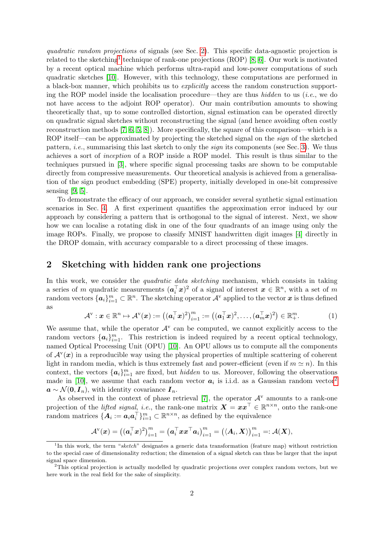quadratic random projections of signals (see Sec. [2\)](#page-1-0). This specific data-agnostic projection is related to the sketching<sup>[1](#page-1-1)</sup> technique of rank-one projections (ROP) [\[8,](#page-7-3) [6\]](#page-7-4). Our work is motivated by a recent optical machine which performs ultra-rapid and low-power computations of such quadratic sketches [\[10\]](#page-7-1). However, with this technology, these computations are performed in a black-box manner, which prohibits us to explicitly access the random construction supporting the ROP model inside the localisation procedure—they are thus *hidden* to us (*i.e.*, we do not have access to the adjoint ROP operator). Our main contribution amounts to showing theoretically that, up to some controlled distortion, signal estimation can be operated directly on quadratic signal sketches without reconstructing the signal (and hence avoiding often costly reconstruction methods [\[7,](#page-7-5) [6,](#page-7-4) [5,](#page-7-6) [8\]](#page-7-3)). More specifically, the square of this comparison—which is a ROP itself—can be approximated by projecting the sketched signal on the *sign* of the sketched pattern, *i.e.*, summarising this last sketch to only the *sign* its components (see Sec. [3\)](#page-2-0). We thus achieves a sort of inception of a ROP inside a ROP model. This result is thus similar to the techniques pursued in [\[3\]](#page-7-7), where specific signal processing tasks are shown to be computable directly from compressive measurements. Our theoretical analysis is achieved from a generalisation of the sign product embedding (SPE) property, initially developed in one-bit compressive sensing  $[9, 5]$  $[9, 5]$ .

To demonstrate the efficacy of our approach, we consider several synthetic signal estimation scenarios in Sec. [4.](#page-2-1) A first experiment quantifies the approximation error induced by our approach by considering a pattern that is orthogonal to the signal of interest. Next, we show how we can localise a rotating disk in one of the four quadrants of an image using only the image ROPs. Finally, we propose to classify MNIST handwritten digit images [\[4\]](#page-7-9) directly in the DROP domain, with accuracy comparable to a direct processing of these images.

## <span id="page-1-0"></span>2 Sketching with hidden rank one projections

In this work, we consider the *quadratic data sketching* mechanism, which consists in taking a series of m quadratic measurements  $(a_i^{\top} x)^2$  of a signal of interest  $x \in \mathbb{R}^n$ , with a set of m random vectors  $\{a_i\}_{i=1}^m \subset \mathbb{R}^n$ . The sketching operator  $\mathcal{A}^{\vee}$  applied to the vector  $x$  is thus defined as

$$
\mathcal{A}^{\mathbf{v}}: \boldsymbol{x} \in \mathbb{R}^n \mapsto \mathcal{A}^{\mathbf{v}}(\boldsymbol{x}) := ((\boldsymbol{a}_i^{\top} \boldsymbol{x})^2)_{i=1}^m := ((\boldsymbol{a}_1^{\top} \boldsymbol{x})^2, \dots, (\boldsymbol{a}_m^{\top} \boldsymbol{x})^2) \in \mathbb{R}_+^m.
$$
 (1)

We assume that, while the operator  $\mathcal{A}^{\mathbf{v}}$  can be computed, we cannot explicitly access to the random vectors  $\{a_i\}_{i=1}^m$ . This restriction is indeed required by a recent optical technology, named Optical Processing Unit (OPU) [\[10\]](#page-7-1). An OPU allows us to compute all the components of  $\mathcal{A}^{\vee}(x)$  in a reproducible way using the physical properties of multiple scattering of coherent light in random media, which is thus extremely fast and power-efficient (even if  $m \simeq n$ ). In this context, the vectors  $\{a_i\}_{i=1}^m$  are fixed, but *hidden* to us. Moreover, following the observations made in [\[10\]](#page-7-1), we assume that each random vector  $a_i$  is i.i.d. as a Gaussian random vector<sup>[2](#page-1-2)</sup>  $a \sim \mathcal{N}(0, I_n)$ , with identity covariance  $I_n$ .

As observed in the context of phase retrieval [\[7\]](#page-7-5), the operator  $\mathcal{A}^{\vee}$  amounts to a rank-one projection of the *lifted signal*, *i.e.*, the rank-one matrix  $\mathbf{X} = \boldsymbol{x} \boldsymbol{x}^{\top} \in \mathbb{R}^{n \times n}$ , onto the rank-one random matrices  $\{A_i := a_i a_i^{\top}\}_{i=1}^m \subset \mathbb{R}^{n \times n}$ , as defined by the equivalence

$$
\mathcal{A}^{\mathrm{v}}(x)=((\boldsymbol{a}_i^{\top} x)^2)_{i=1}^m=\left(\boldsymbol{a}_i^{\top} x x^{\top} \boldsymbol{a}_i\right)_{i=1}^m=\left(\langle A_i, X \rangle\right)_{i=1}^m=:\mathcal{A}(X),
$$

<span id="page-1-1"></span><sup>&</sup>lt;sup>1</sup>In this work, the term "sketch" designates a generic data transformation (feature map) without restriction to the special case of dimensionality reduction; the dimension of a signal sketch can thus be larger that the input signal space dimension.

<span id="page-1-2"></span><sup>&</sup>lt;sup>2</sup>This optical projection is actually modelled by quadratic projections over complex random vectors, but we here work in the real field for the sake of simplicity.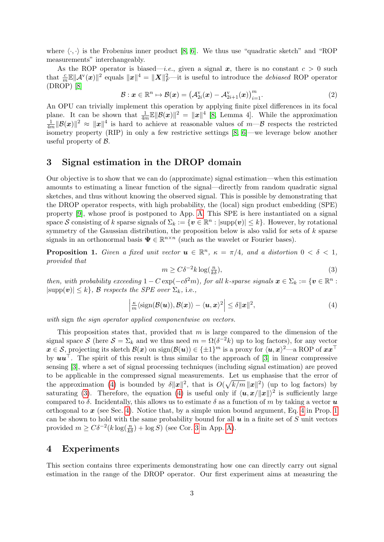where  $\langle \cdot, \cdot \rangle$  is the Frobenius inner product [\[8,](#page-7-3) [6\]](#page-7-4). We thus use "quadratic sketch" and "ROP measurements" interchangeably.

As the ROP operator is biased—*i.e.*, given a signal x, there is no constant  $c > 0$  such that  $\frac{c}{m}\mathbb{E}||\mathcal{A}^{\vee}(x)||^2$  equals  $||x||^4 = ||\mathbf{X}||_F^2$ —it is useful to introduce the *debiased* ROP operator (DROP) [\[8\]](#page-7-3)

$$
\mathcal{B}: \boldsymbol{x} \in \mathbb{R}^n \mapsto \mathcal{B}(\boldsymbol{x}) = \left(\mathcal{A}_{2i}^{\mathrm{v}}(\boldsymbol{x}) - \mathcal{A}_{2i+1}^{\mathrm{v}}(\boldsymbol{x})\right)_{i=1}^m. \tag{2}
$$

An OPU can trivially implement this operation by applying finite pixel differences in its focal plane. It can be shown that  $\frac{1}{4m}\mathbb{E}||\mathcal{B}(x)||^2 = ||x||^4$  [\[8,](#page-7-3) Lemma 4]. While the approximation 1  $\frac{1}{4m} \|\mathcal{B}(x)\|^2 \approx \|x\|^4$  is hard to achieve at reasonable values of  $m-\mathcal{B}$  respects the restricted isometry property (RIP) in only a few restrictive settings [\[8,](#page-7-3) [6\]](#page-7-4)—we leverage below another useful property of B.

### <span id="page-2-0"></span>3 Signal estimation in the DROP domain

Our objective is to show that we can do (approximate) signal estimation—when this estimation amounts to estimating a linear function of the signal—directly from random quadratic signal sketches, and thus without knowing the observed signal. This is possible by demonstrating that the DROP operator respects, with high probability, the (local) sign product embedding (SPE) property [\[9\]](#page-7-8), whose proof is postponed to App. [A.](#page-5-0) This SPE is here instantiated on a signal space S consisting of k sparse signals of  $\Sigma_k := \{ \mathbf{v} \in \mathbb{R}^n : |\text{supp}(\mathbf{v})| \leq k \}.$  However, by rotational symmetry of the Gaussian distribution, the proposition below is also valid for sets of  $k$  sparse signals in an orthonormal basis  $\Psi \in \mathbb{R}^{n \times n}$  (such as the wavelet or Fourier bases).

<span id="page-2-4"></span>**Proposition 1.** Given a fixed unit vector  $u \in \mathbb{R}^n$ ,  $\kappa = \pi/4$ , and a distortion  $0 < \delta < 1$ , provided that

<span id="page-2-3"></span>
$$
m \ge C\delta^{-2}k \log(\frac{n}{k\delta}),\tag{3}
$$

then, with probability exceeding  $1 - C \exp(-c\delta^2 m)$ , for all k-sparse signals  $\mathbf{x} \in \Sigma_k := \{ \mathbf{v} \in \mathbb{R}^n :$  $|\text{supp}(v)| \leq k$ , B respects the SPE over  $\Sigma_k$ , i.e.,

<span id="page-2-2"></span>
$$
\left|\frac{\kappa}{m}\langle\operatorname{sign}(\mathcal{B}(\boldsymbol{u})),\mathcal{B}(\boldsymbol{x})\rangle-\langle\boldsymbol{u},\boldsymbol{x}\rangle^2\right|\leq\delta\|\boldsymbol{x}\|^2,
$$
\n(4)

with sign the sign operator applied componentwise on vectors.

This proposition states that, provided that  $m$  is large compared to the dimension of the signal space S (here  $S = \Sigma_k$  and we thus need  $m = \Omega(\delta^{-2}k)$  up to log factors), for any vector  $x \in \mathcal{S}$ , projecting its sketch  $\mathcal{B}(x)$  on  $\text{sign}(\mathcal{B}(u)) \in \{\pm 1\}^m$  is a proxy for  $\langle u, x \rangle^2$ —a ROP of  $xx^\top$ by  $uu<sup>†</sup>$ . The spirit of this result is thus similar to the approach of [\[3\]](#page-7-7) in linear compressive sensing [\[3\]](#page-7-7), where a set of signal processing techniques (including signal estimation) are proved to be applicable in the compressed signal measurements. Let us emphasise that the error of the approximation [\(4\)](#page-2-2) is bounded by  $\delta ||x||^2$ , that is  $O(\sqrt{k/m} ||x||^2)$  (up to log factors) by saturating [\(3\)](#page-2-3). Therefore, the equation [\(4\)](#page-2-2) is useful only if  $\langle u, x/||x|| \rangle^2$  is sufficiently large compared to  $\delta$ . Incidentally, this allows us to estimate  $\delta$  as a function of m by taking a vector  $\boldsymbol{u}$ orthogonal to  $x$  (see Sec. [4\)](#page-2-1). Notice that, by a simple union bound argument, Eq. [4](#page-2-2) in Prop. [1](#page-2-4) can be shown to hold with the same probability bound for all  $\boldsymbol{u}$  in a finite set of S unit vectors provided  $m \geq C\delta^{-2}(k \log(\frac{n}{k\delta}) + \log S)$  (see Cor. [3](#page-7-10) in App. [A\)](#page-5-0).

#### <span id="page-2-1"></span>4 Experiments

This section contains three experiments demonstrating how one can directly carry out signal estimation in the range of the DROP operator. Our first experiment aims at measuring the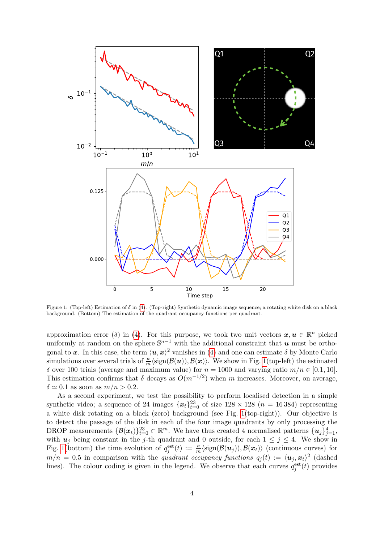<span id="page-3-0"></span>

Figure 1: (Top-left) Estimation of  $\delta$  in [\(4\)](#page-2-2). (Top-right) Synthetic dynamic image sequence; a rotating white disk on a black background. (Bottom) The estimation of the quadrant occupancy functions per quadrant.

approximation error (δ) in [\(4\)](#page-2-2). For this purpose, we took two unit vectors  $x, u \in \mathbb{R}^n$  picked uniformly at random on the sphere  $\mathbb{S}^{n-1}$  with the additional constraint that u must be orthogonal to x. In this case, the term  $\langle u, x \rangle^2$  vanishes in [\(4\)](#page-2-2) and one can estimate  $\delta$  by Monte Carlo simulations over several trials of  $\frac{\kappa}{m}\langle \text{sign}(\mathcal{B}(\boldsymbol{u})), \mathcal{B}(\boldsymbol{x})\rangle$ . We show in Fig. [1\(](#page-3-0)top-left) the estimated δ over 100 trials (average and maximum value) for  $n = 1000$  and varying ratio  $m/n \in [0.1, 10]$ . This estimation confirms that  $\delta$  decays as  $O(m^{-1/2})$  when m increases. Moreover, on average,  $\delta \simeq 0.1$  as soon as  $m/n > 0.2$ .

As a second experiment, we test the possibility to perform localised detection in a simple synthetic video; a sequence of 24 images  $\{\boldsymbol{x}_t\}_{t=0}^{23}$  of size  $128 \times 128$   $(n = 16384)$  representing a white disk rotating on a black (zero) background (see Fig. [1\(](#page-3-0)top-right)). Our objective is to detect the passage of the disk in each of the four image quadrants by only processing the DROP measurements  $\{\mathcal{B}(\bm{x}_t)\}_{t=0}^{23} \subset \mathbb{R}^m$ . We have thus created 4 normalised patterns  $\{\bm{u}_j\}_{j=1}^4$ , with  $u_j$  being constant in the j-th quadrant and 0 outside, for each  $1 \leq j \leq 4$ . We show in Fig. [1\(](#page-3-0)bottom) the time evolution of  $q_j^{\text{est}}(t) := \frac{\kappa}{m} \langle \text{sign}(\mathcal{B}(\boldsymbol{u}_j)), \mathcal{B}(\boldsymbol{x}_t) \rangle$  (continuous curves) for  $m/n = 0.5$  in comparison with the quadrant occupancy functions  $q_j(t) := \langle u_j, x_t \rangle^2$  (dashed lines). The colour coding is given in the legend. We observe that each curves  $q_j^{\text{est}}(t)$  provides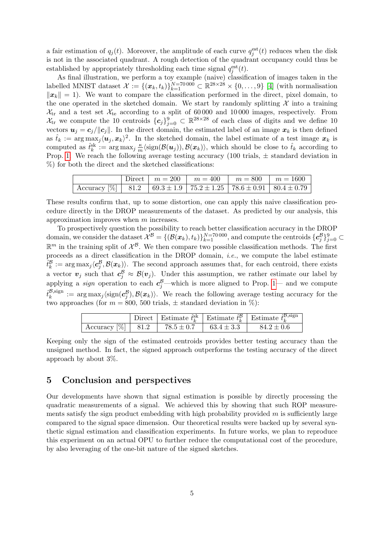a fair estimation of  $q_j(t)$ . Moreover, the amplitude of each curve  $q_j^{\text{est}}(t)$  reduces when the disk is not in the associated quadrant. A rough detection of the quadrant occupancy could thus be established by appropriately thresholding each time signal  $q_j^{\text{est}}(t)$ .

As final illustration, we perform a toy example (naive) classification of images taken in the labelled MNIST dataset  $\mathcal{X} := \{(\boldsymbol{x}_k, t_k)\}_{k=1}^{N=70\,000} \subset \mathbb{R}^{28\times28} \times \{0,\ldots,9\}$  [\[4\]](#page-7-9) (with normalisation  $||x_k|| = 1$ . We want to compare the classification performed in the direct, pixel domain, to the one operated in the sketched domain. We start by randomly splitting  $\mathcal X$  into a training  $X_{tr}$  and a test set  $X_{te}$  according to a split of 60 000 and 10 000 images, respectively. From  $\mathcal{X}_{tr}$  we compute the 10 centroids  $\{c_j\}_{j=0}^9 \subset \mathbb{R}^{28\times28}$  of each class of digits and we define 10 vectors  $u_j = c_j / ||c_j||$ . In the direct domain, the estimated label of an image  $x_k$  is then defined as  $\hat{t}_k := \arg \max_j \langle \boldsymbol{u}_j, \boldsymbol{x}_k \rangle^2$ . In the sketched domain, the label estimate of a test image  $\boldsymbol{x}_k$  is computed as  $\hat{t}_k^{\text{sk}} := \arg \max_j \frac{\kappa}{m}$  $\frac{\kappa}{m} \langle \text{sign}(\mathcal{B}(\boldsymbol{u}_j)), \mathcal{B}(\boldsymbol{x}_k) \rangle$ , which should be close to  $\hat{t}_k$  according to Prop. [1.](#page-2-4) We reach the following average testing accuracy (100 trials,  $\pm$  standard deviation in %) for both the direct and the sketched classifications:

|                                                                                                           |  | Direct   $m = 200$   $m = 400$   $m = 800$   $m = 1600$ |  |
|-----------------------------------------------------------------------------------------------------------|--|---------------------------------------------------------|--|
| $\left[\right.$ Accuracy $\left[\% \right]$   81.2   69.3 ± 1.9   75.2 ± 1.25   78.6 ± 0.91   80.4 ± 0.79 |  |                                                         |  |

These results confirm that, up to some distortion, one can apply this naive classification procedure directly in the DROP measurements of the dataset. As predicted by our analysis, this approximation improves when m increases.

To prospectively question the possibility to reach better classification accuracy in the DROP  $\text{domain, we consider the dataset } \mathcal{X}^{\mathcal{B}} = \{(\mathcal{B}(\boldsymbol{x}_k), t_k)\}_{k=1}^{N=70\,000}, \text{and compute the centroids } \{ \boldsymbol{c}^{\mathcal{B}}_j \}_{j=0}^{9} \subset \mathcal{X}^{\mathcal{B}}$  $\mathbb{R}^m$  in the training split of  $\mathcal{X}^{\mathcal{B}}$ . We then compare two possible classification methods. The first proceeds as a direct classification in the DROP domain, i.e., we compute the label estimate  $\hat{t}_k^{\mathcal{B}} := \arg \max_j \langle c_j^{\mathcal{B}}, \mathcal{B}(\boldsymbol{x}_k) \rangle$ . The second approach assumes that, for each centroid, there exists a vector  $v_j$  such that  $c_j^{\beta} \approx \mathcal{B}(v_j)$ . Under this assumption, we rather estimate our label by applying a *sign* operation to each  $c_j^{\mathcal{B}}$ —which is more aligned to Prop. [1—](#page-2-4) and we compute  $\hat{t}_k^{\mathcal{B},\text{sign}}$  $k_k^{\mathcal{B}, sign} := \arg \max_j \langle sign(c_j^{\mathcal{B}}), \mathcal{B}(x_k) \rangle$ . We reach the following average testing accuracy for the two approaches (for  $m = 800, 500$  trials,  $\pm$  standard deviation in %):

|                                                                     |  | <sup><math>\perp</math></sup> Direct   Estimate $\hat{t}_k^{\text{sk}}$   Estimate $\hat{t}_k^{\mathcal{B}}$   Estimate $\hat{t}_k^{\mathcal{B}, \text{sign}}$ |
|---------------------------------------------------------------------|--|----------------------------------------------------------------------------------------------------------------------------------------------------------------|
| Accuracy $\lbrack \% \rbrack$ 81.2 78.5 ± 0.7 63.4 ± 3.3 84.2 ± 0.6 |  |                                                                                                                                                                |

Keeping only the sign of the estimated centroids provides better testing accuracy than the unsigned method. In fact, the signed approach outperforms the testing accuracy of the direct approach by about 3%.

### 5 Conclusion and perspectives

Our developments have shown that signal estimation is possible by directly processing the quadratic measurements of a signal. We achieved this by showing that such ROP measurements satisfy the sign product embedding with high probability provided  $m$  is sufficiently large compared to the signal space dimension. Our theoretical results were backed up by several synthetic signal estimation and classification experiments. In future works, we plan to reproduce this experiment on an actual OPU to further reduce the computational cost of the procedure, by also leveraging of the one-bit nature of the signed sketches.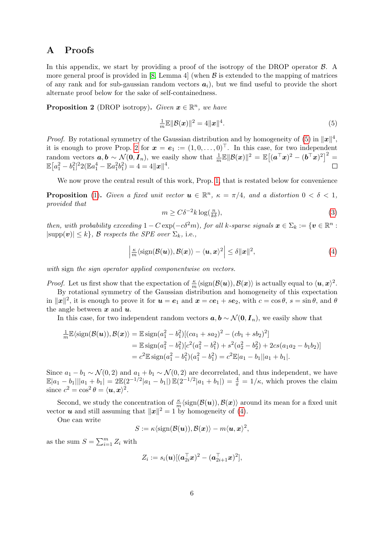### <span id="page-5-0"></span>A Proofs

In this appendix, we start by providing a proof of the isotropy of the DROP operator  $\beta$ . A more general proof is provided in [\[8,](#page-7-3) Lemma 4] (when  $\beta$  is extended to the mapping of matrices of any rank and for sub-gaussian random vectors  $a_i$ ), but we find useful to provide the short alternate proof below for the sake of self-containedness.

<span id="page-5-2"></span>**Proposition 2** (DROP isotropy). Given  $x \in \mathbb{R}^n$ , we have

<span id="page-5-1"></span>
$$
\frac{1}{m}\mathbb{E}\|\mathcal{B}(\boldsymbol{x})\|^2 = 4\|\boldsymbol{x}\|^4. \tag{5}
$$

*Proof.* By rotational symmetry of the Gaussian distribution and by homogeneity of [\(5\)](#page-5-1) in  $||x||^4$ , it is enough to prove Prop. [2](#page-5-2) for  $x = e_1 := (1, 0, \ldots, 0)^\top$ . In this case, for two independent random vectors  $a, b \sim \mathcal{N}(0, I_n)$ , we easily show that  $\frac{1}{m} \mathbb{E} ||\mathcal{B}(x)||^2 = \mathbb{E}[(a^\top x)^2 - (b^\top x)^2]^2 =$  $\mathbb{E}\left[a_1^2-b_1^2\right]^2 2(\mathbb{E}a_1^4-\mathbb{E}a_1^2b_1^2)=4=4\|\boldsymbol{x}\|^4.$ 

We now prove the central result of this work, Prop. [1,](#page-2-4) that is restated below for convenience

**Proposition** [\(1\)](#page-2-4). Given a fixed unit vector  $u \in \mathbb{R}^n$ ,  $\kappa = \pi/4$ , and a distortion  $0 < \delta < 1$ , provided that

<span id="page-5-3"></span>
$$
m \ge C\delta^{-2}k \log(\frac{n}{k\delta}),\tag{3}
$$

then, with probability exceeding  $1 - C \exp(-c\delta^2 m)$ , for all k-sparse signals  $\mathbf{x} \in \Sigma_k := \{ \mathbf{v} \in \mathbb{R}^n :$  $|\text{supp}(v)| \leq k$ , B respects the SPE over  $\Sigma_k$ , i.e.,

$$
\left|\frac{\kappa}{m}\langle\operatorname{sign}(\mathcal{B}(\boldsymbol{u})),\mathcal{B}(\boldsymbol{x})\rangle-\langle\boldsymbol{u},\boldsymbol{x}\rangle^{2}\right|\leq\delta\|\boldsymbol{x}\|^{2},\tag{4}
$$

with sign the sign operator applied componentwise on vectors.

*Proof.* Let us first show that the expectation of  $\frac{\kappa}{m} \langle \text{sign}(\mathcal{B}(\boldsymbol{u})) , \mathcal{B}(\boldsymbol{x}) \rangle$  is actually equal to  $\langle \boldsymbol{u}, \boldsymbol{x} \rangle^2$ .

By rotational symmetry of the Gaussian distribution and homogeneity of this expectation in  $||x||^2$ , it is enough to prove it for  $u = e_1$  and  $x = ce_1 + se_2$ , with  $c = \cos \theta$ ,  $s = \sin \theta$ , and  $\theta$ the angle between  $x$  and  $u$ .

In this case, for two independent random vectors  $a, b \sim \mathcal{N}(0, I_n)$ , we easily show that

$$
\frac{1}{m}\mathbb{E}\langle \text{sign}(\mathcal{B}(\boldsymbol{u})), \mathcal{B}(\boldsymbol{x}) \rangle = \mathbb{E}\operatorname{sign}(a_1^2 - b_1^2)[(ca_1 + sa_2)^2 - (cb_1 + sb_2)^2] \n= \mathbb{E}\operatorname{sign}(a_1^2 - b_1^2)[c^2(a_1^2 - b_1^2) + s^2(a_2^2 - b_2^2) + 2cs(a_1a_2 - b_1b_2)] \n= c^2 \mathbb{E}\operatorname{sign}(a_1^2 - b_1^2)(a_1^2 - b_1^2) = c^2 \mathbb{E}|a_1 - b_1||a_1 + b_1|.
$$

Since  $a_1 - b_1 \sim \mathcal{N}(0, 2)$  and  $a_1 + b_1 \sim \mathcal{N}(0, 2)$  are decorrelated, and thus independent, we have  $\mathbb{E}|a_1 - b_1||a_1 + b_1| = 2\mathbb{E}(2^{-1/2}|a_1 - b_1|)\mathbb{E}(2^{-1/2}|a_1 + b_1|) = \frac{4}{\pi} = 1/\kappa$ , which proves the claim since  $c^2 = \cos^2 \theta = \langle \boldsymbol{u}, \boldsymbol{x} \rangle^2$ .

Second, we study the concentration of  $\frac{\kappa}{m}\langle \text{sign}(\mathcal{B}(u)), \mathcal{B}(x)\rangle$  around its mean for a fixed unit vector **u** and still assuming that  $||x||^2 = 1$  by homogeneity of [\(4\)](#page-2-2).

One can write

$$
S:=\kappa \langle \text{sign}(\mathcal{B}(\boldsymbol{u})), \mathcal{B}(\boldsymbol{x}) \rangle - m \langle \boldsymbol{u}, \boldsymbol{x} \rangle^2,
$$

as the sum  $S = \sum_{i=1}^{m} Z_i$  with

$$
Z_i := s_i(\boldsymbol{u}) [(\boldsymbol{a}_{2i}^\top \boldsymbol{x})^2 - (\boldsymbol{a}_{2i+1}^\top \boldsymbol{x})^2],
$$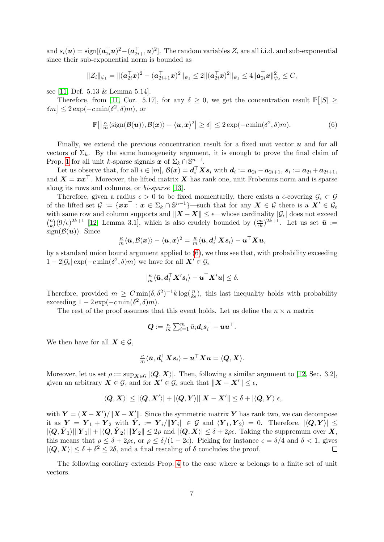and  $s_i(\boldsymbol{u}) = \text{sign}[(\boldsymbol{a}_{2i}^{\top}\boldsymbol{u})^2 - (\boldsymbol{a}_{2i+1}^{\top}\boldsymbol{u})^2]$ . The random variables  $Z_i$  are all i.i.d. and sub-exponential since their sub-exponential norm is bounded as

$$
||Z_i||_{\psi_1} = ||(\mathbf{a}_{2i}^\top \mathbf{x})^2 - (\mathbf{a}_{2i+1}^\top \mathbf{x})^2||_{\psi_1} \leq 2 ||(\mathbf{a}_{2i}^\top \mathbf{x})^2||_{\psi_1} \leq 4 ||\mathbf{a}_{2i}^\top \mathbf{x}||_{\psi_2}^2 \leq C,
$$

see [\[11,](#page-7-11) Def. 5.13 & Lemma 5.14].

Therefore, from [\[11,](#page-7-11) Cor. 5.17], for any  $\delta \geq 0$ , we get the concentration result  $\mathbb{P}[|S| \geq 0]$  $\delta m$   $\leq 2 \exp(-c \min(\delta^2, \delta)m)$ , or

$$
\mathbb{P}\big[\big|\frac{\kappa}{m}\langle\text{sign}(\mathcal{B}(\boldsymbol{u})),\mathcal{B}(\boldsymbol{x})\rangle-\langle\boldsymbol{u},\boldsymbol{x}\rangle^2\big|\geq\delta\big]\leq 2\exp(-c\min(\delta^2,\delta)m). \hspace{1cm} (6)
$$

Finally, we extend the previous concentration result for a fixed unit vector  $\boldsymbol{u}$  and for all vectors of  $\Sigma_k$ . By the same homogeneity argument, it is enough to prove the final claim of Prop. [1](#page-2-4) for all unit k-sparse signals  $x$  of  $\Sigma_k \cap \mathbb{S}^{n-1}$ .

Let us observe that, for all  $i \in [m]$ ,  $\mathcal{B}(x) = \boldsymbol{d}_i^\top \boldsymbol{X} \boldsymbol{s}_i$  with  $\boldsymbol{d}_i := \boldsymbol{a}_{2i} - \boldsymbol{a}_{2i+1}$ ,  $\boldsymbol{s}_i := \boldsymbol{a}_{2i} + \boldsymbol{a}_{2i+1}$ , and  $X = xx^\top$ . Moreover, the lifted matrix X has rank one, unit Frobenius norm and is sparse along its rows and columns, or bi-sparse [\[13\]](#page-8-1).

Therefore, given a radius  $\epsilon > 0$  to be fixed momentarily, there exists a  $\epsilon$ -covering  $\mathcal{G}_{\epsilon} \subset \mathcal{G}$ of the lifted set  $\mathcal{G} := \{xx^\top : x \in \Sigma_k \cap \mathbb{S}^{n-1}\}$ —such that for any  $X \in \mathcal{G}$  there is a  $X' \in \mathcal{G}_{\epsilon}$ with same row and column supports and  $||X - X|| \leq \epsilon$ —whose cardinality  $|\mathcal{G}_{\epsilon}|$  does not exceed  $\binom{n}{k}$  $(k)(9/\epsilon)^{2k+1}$  [\[12,](#page-7-12) Lemma 3.1], which is also crudely bounded by  $(\frac{cn}{\epsilon k})^{2k+1}$ . Let us set  $\bar{u}$  :=  $sign(\mathcal{B}(u))$ . Since

$$
\tfrac{\kappa}{m}\langle \bar{\bm{u}},\mathcal{B}(\bm{x})\rangle - \langle \bm{u},\bm{x}\rangle^2 = \tfrac{\kappa}{m}\langle \bar{\bm{u}},\bm{d}_i^\top\bm{X}\bm{s}_i\rangle - \bm{u}^\top\bm{X}\bm{u},
$$

by a standard union bound argument applied to  $(6)$ , we thus see that, with probability exceeding  $1-2|\mathcal{G}_{\epsilon}| \exp(-c \min(\delta^2, \delta)m)$  we have for all  $\mathbf{X}' \in \mathcal{G}_{\epsilon}$ 

$$
|\tfrac{\kappa}{m}\langle \bar{\bm{u}}, \bm{d}_i^\top\bm{X}'\bm{s}_i\rangle - \bm{u}^\top\bm{X}'\bm{u}| \leq \delta.
$$

Therefore, provided  $m \geq C \min(\delta, \delta^2)^{-1} k \log(\frac{n}{k\epsilon})$ , this last inequality holds with probability exceeding  $1 - 2 \exp(-c \min(\delta^2, \delta)m)$ .

The rest of the proof assumes that this event holds. Let us define the  $n \times n$  matrix

$$
\bm{Q} := \tfrac{\kappa}{m} \textstyle \sum_{i=1}^m \bar{u}_i \bm{d}_i \bm{s}_i^\top - \bm{u} \bm{u}^\top.
$$

We then have for all  $X \in \mathcal{G}$ ,

$$
\tfrac{\kappa}{m}\langle \bar{\bm{u}}, \bm{d}_i^\top\bm{X}\bm{s}_i\rangle - \bm{u}^\top\bm{X}\bm{u} = \langle \bm{Q}, \bm{X}\rangle.
$$

Moreover, let us set  $\rho := \sup_{\mathbf{X} \in \mathcal{G}} |\langle \mathbf{Q}, \mathbf{X} \rangle|$ . Then, following a similar argument to [\[12,](#page-7-12) Sec. 3.2], given an arbitrary  $X \in \mathcal{G}$ , and for  $X' \in \mathcal{G}_{\epsilon}$  such that  $||X - X'|| \leq \epsilon$ ,

$$
|\langle \boldsymbol{Q}, \boldsymbol{X} \rangle| \leq |\langle \boldsymbol{Q}, \boldsymbol{X}' \rangle| + |\langle \boldsymbol{Q}, \boldsymbol{Y} \rangle| \| \boldsymbol{X} - \boldsymbol{X}' \| \leq \delta + |\langle \boldsymbol{Q}, \boldsymbol{Y} \rangle| \epsilon,
$$

with  $Y = (X - X') / ||X - X'||$ . Since the symmetric matrix Y has rank two, we can decompose it as  $\boldsymbol{Y} = [\boldsymbol{Y}_1 + \boldsymbol{Y}_2]$  with  $\hat{\boldsymbol{Y}_i} := [\boldsymbol{Y}_i / ||\boldsymbol{Y}_i|| \in \mathcal{G}$  and  $\langle \boldsymbol{Y}_1, \boldsymbol{Y}_2 \rangle = 0$ . Therefore,  $|\langle \boldsymbol{Q}, \boldsymbol{Y} \rangle| \leq$  $|\langle \mathbf{Q}, \hat{\boldsymbol{Y}}_1 \rangle| ||\boldsymbol{Y}_1|| + |\langle \mathbf{Q}, \hat{\boldsymbol{Y}}_2 \rangle| ||\boldsymbol{Y}_2|| \leq 2\rho$  and  $|\langle \mathbf{Q}, \boldsymbol{X} \rangle| \leq \delta + 2\rho\epsilon$ . Taking the suppremum over  $\boldsymbol{X}$ , this means that  $\rho \leq \delta + 2\rho\epsilon$ , or  $\rho \leq \delta/(1-2\epsilon)$ . Picking for instance  $\epsilon = \delta/4$  and  $\delta < 1$ , gives  $|\langle \mathbf{Q}, \mathbf{X} \rangle| \leq \delta + \delta^2 \leq 2\delta$ , and a final rescaling of  $\delta$  concludes the proof.  $\Box$ 

The following corollary extends Prop. [4](#page-2-2) to the case where  $\boldsymbol{u}$  belongs to a finite set of unit vectors.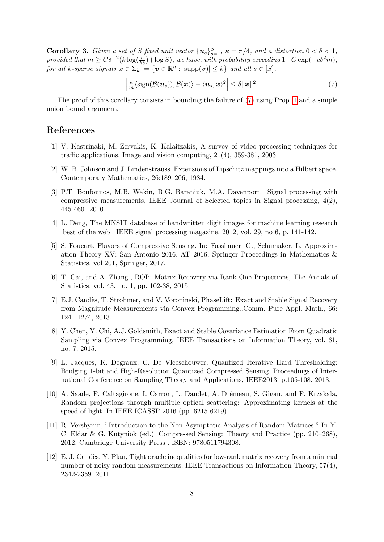<span id="page-7-10"></span>**Corollary 3.** Given a set of S fixed unit vector  $\{u_s\}_{s=1}^S$ ,  $\kappa = \pi/4$ , and a distortion  $0 < \delta < 1$ , provided that  $m \geq C\delta^{-2}(k \log(\frac{n}{k\delta}) + \log S)$ , we have, with probability exceeding  $1-C \exp(-c\delta^2 m)$ , for all k-sparse signals  $\boldsymbol{x} \in \sum_{k} \in \{ \boldsymbol{v} \in \mathbb{R}^{n} : |\text{supp}(\boldsymbol{v})| \leq k \}$  and all  $s \in [S]$ ,

<span id="page-7-13"></span>
$$
\left|\frac{\kappa}{m}\langle\text{sign}(\mathcal{B}(\boldsymbol{u}_s)),\mathcal{B}(\boldsymbol{x})\rangle-\langle\boldsymbol{u}_s,\boldsymbol{x}\rangle^2\right|\leq\delta\|\boldsymbol{x}\|^2.
$$
 (7)

The proof of this corollary consists in bounding the failure of [\(7\)](#page-7-13) using Prop. [1](#page-2-4) and a simple union bound argument.

#### References

- <span id="page-7-2"></span>[1] V. Kastrinaki, M. Zervakis, K. Kalaitzakis, A survey of video processing techniques for traffic applications. Image and vision computing, 21(4), 359-381, 2003.
- <span id="page-7-0"></span>[2] W. B. Johnson and J. Lindenstrauss. Extensions of Lipschitz mappings into a Hilbert space. Contemporary Mathematics, 26:189–206, 1984.
- <span id="page-7-7"></span>[3] P.T. Boufounos, M.B. Wakin, R.G. Baraniuk, M.A. Davenport, Signal processing with compressive measurements, IEEE Journal of Selected topics in Signal processing, 4(2), 445-460. 2010.
- <span id="page-7-9"></span>[4] L. Deng, The MNSIT database of handwritten digit images for machine learning research [best of the web]. IEEE signal processing magazine, 2012, vol. 29, no 6, p. 141-142.
- <span id="page-7-6"></span>[5] S. Foucart, Flavors of Compressive Sensing. In: Fasshauer, G., Schumaker, L. Approximation Theory XV: San Antonio 2016. AT 2016. Springer Proceedings in Mathematics & Statistics, vol 201, Springer, 2017.
- <span id="page-7-4"></span>[6] T. Cai, and A. Zhang., ROP: Matrix Recovery via Rank One Projections, The Annals of Statistics, vol. 43, no. 1, pp. 102-38, 2015.
- <span id="page-7-5"></span>[7] E.J. Candès, T. Strohmer, and V. Voroninski, PhaseLift: Exact and Stable Signal Recovery from Magnitude Measurements via Convex Programming.,Comm. Pure Appl. Math., 66: 1241-1274, 2013.
- <span id="page-7-3"></span>[8] Y. Chen, Y. Chi, A.J. Goldsmith, Exact and Stable Covariance Estimation From Quadratic Sampling via Convex Programming, IEEE Transactions on Information Theory, vol. 61, no. 7, 2015.
- <span id="page-7-8"></span>[9] L. Jacques, K. Degraux, C. De Vleeschouwer, Quantized Iterative Hard Thresholding: Bridging 1-bit and High-Resolution Quantized Compressed Sensing. Proceedings of International Conference on Sampling Theory and Applications, IEEE2013, p.105-108, 2013.
- <span id="page-7-1"></span>[10] A. Saade, F. Caltagirone, I. Carron, L. Daudet, A. Drémeau, S. Gigan, and F. Krzakala, Random projections through multiple optical scattering: Approximating kernels at the speed of light. In IEEE ICASSP 2016 (pp. 6215-6219).
- <span id="page-7-11"></span>[11] R. Vershynin, "Introduction to the Non-Asymptotic Analysis of Random Matrices." In Y. C. Eldar & G. Kutyniok (ed.), Compressed Sensing: Theory and Practice (pp. 210–268), 2012. Cambridge University Press . ISBN: 9780511794308.
- <span id="page-7-12"></span>[12] E. J. Cand`es, Y. Plan, Tight oracle inequalities for low-rank matrix recovery from a minimal number of noisy random measurements. IEEE Transactions on Information Theory, 57(4), 2342-2359. 2011